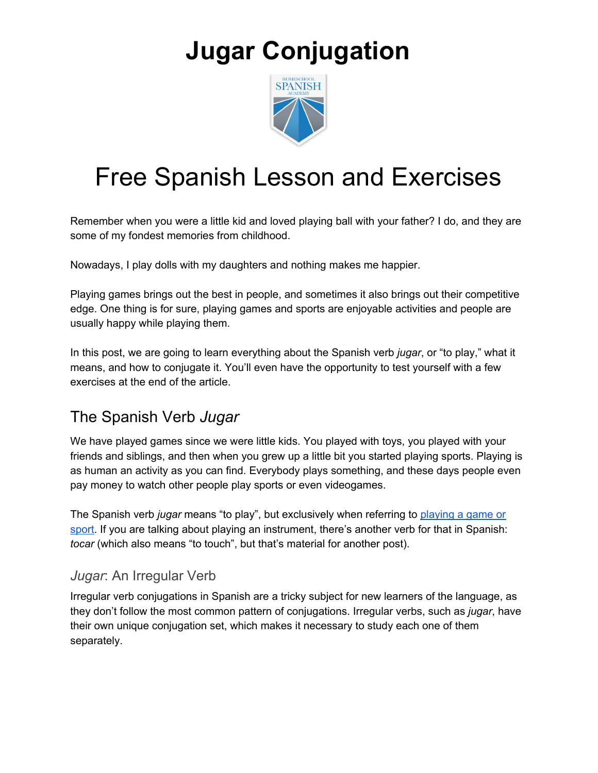

### Free Spanish Lesson and Exercises

Remember when you were a little kid and loved playing ball with your father? I do, and they are some of my fondest memories from childhood.

Nowadays, I play dolls with my daughters and nothing makes me happier.

Playing games brings out the best in people, and sometimes it also brings out their competitive edge. One thing is for sure, playing games and sports are enjoyable activities and people are usually happy while playing them.

In this post, we are going to learn everything about the Spanish verb *jugar*, or "to play," what it means, and how to conjugate it. You'll even have the opportunity to test yourself with a few exercises at the end of the article.

### The Spanish Verb *Jugar*

We have played games since we were little kids. You played with toys, you played with your friends and siblings, and then when you grew up a little bit you started playing sports. Playing is as human an activity as you can find. Everybody plays something, and these days people even pay money to watch other people play sports or even videogames.

The Spanish verb *jugar* means "to play", but exclusively when referring to [playing](https://study.com/academy/lesson/jugar-past-tense-conjugation-preterite-imperfect.html) a game or [sport.](https://study.com/academy/lesson/jugar-past-tense-conjugation-preterite-imperfect.html) If you are talking about playing an instrument, there's another verb for that in Spanish: *tocar* (which also means "to touch", but that's material for another post).

#### *Jugar*: An Irregular Verb

Irregular verb conjugations in Spanish are a tricky subject for new learners of the language, as they don't follow the most common pattern of conjugations. Irregular verbs, such as *jugar*, have their own unique conjugation set, which makes it necessary to study each one of them separately.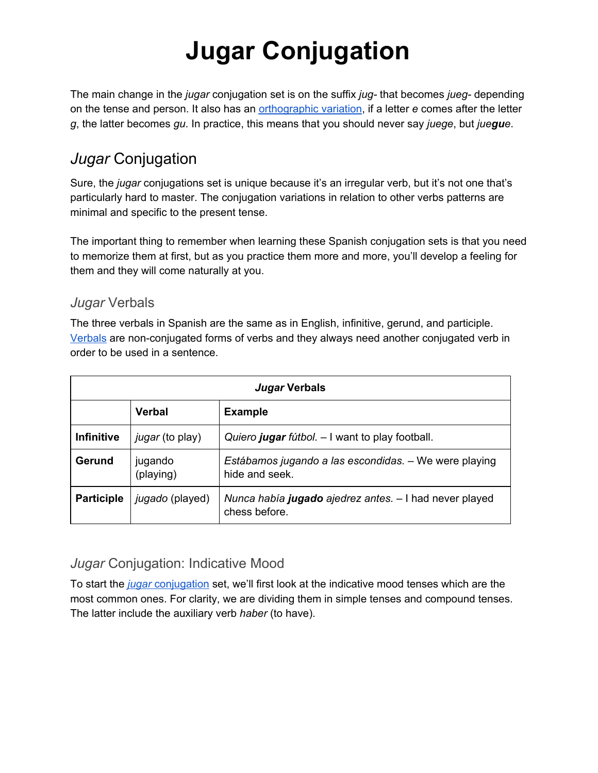The main change in the *jugar* conjugation set is on the suffix *jug-* that becomes *jueg-* depending on the tense and person. It also has an [orthographic](https://www.123teachme.com/spanish_verb_conjugation/jugar) variation, if a letter *e* comes after the letter *g*, the latter becomes *gu*. In practice, this means that you should never say *juege*, but *juegue*.

### *Jugar* Conjugation

Sure, the *jugar* conjugations set is unique because it's an irregular verb, but it's not one that's particularly hard to master. The conjugation variations in relation to other verbs patterns are minimal and specific to the present tense.

The important thing to remember when learning these Spanish conjugation sets is that you need to memorize them at first, but as you practice them more and more, you'll develop a feeling for them and they will come naturally at you.

#### *Jugar* Verbals

The three verbals in Spanish are the same as in English, infinitive, gerund, and participle. [Verbals](https://www.thoughtco.com/verbal-grammar-1692584) are non-conjugated forms of verbs and they always need another conjugated verb in order to be used in a sentence.

| Jugar Verbals     |                        |                                                                         |  |
|-------------------|------------------------|-------------------------------------------------------------------------|--|
|                   | <b>Verbal</b>          | <b>Example</b>                                                          |  |
| <b>Infinitive</b> | <i>jugar</i> (to play) | Quiero jugar fútbol. - I want to play football.                         |  |
| Gerund            | jugando<br>(playing)   | Estábamos jugando a las escondidas. – We were playing<br>hide and seek. |  |
| <b>Participle</b> | jugado (played)        | Nunca había jugado ajedrez antes. - I had never played<br>chess before. |  |

#### *Jugar* Conjugation: Indicative Mood

To start the *[jugar](https://conjugator.reverso.net/conjugation-spanish-verb-jugar.html)* [conjugation](https://conjugator.reverso.net/conjugation-spanish-verb-jugar.html) set, we'll first look at the indicative mood tenses which are the most common ones. For clarity, we are dividing them in simple tenses and compound tenses. The latter include the auxiliary verb *haber* (to have).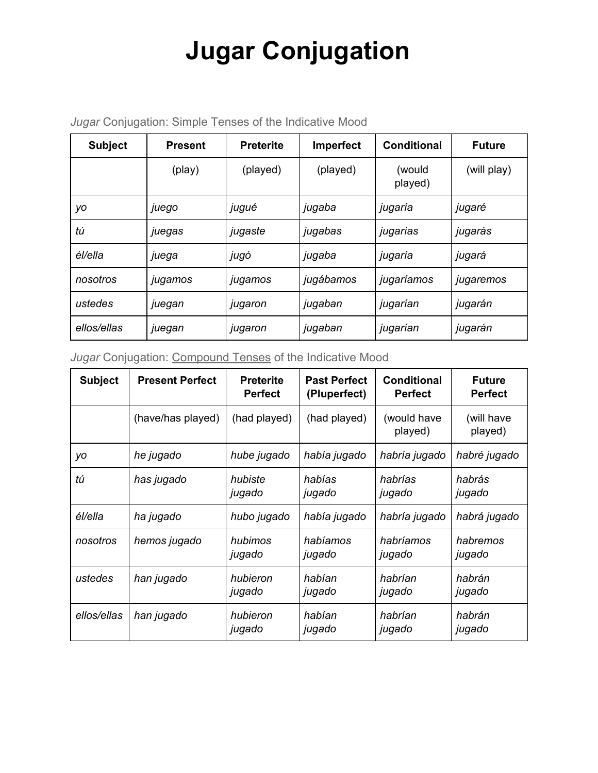| <b>Subject</b> | <b>Present</b> | <b>Preterite</b> | Imperfect | <b>Conditional</b> | <b>Future</b> |
|----------------|----------------|------------------|-----------|--------------------|---------------|
|                | (play)         | (played)         | (played)  | (would<br>played)  | (will play)   |
| уo             | juego          | jugué            | jugaba    | jugaría            | jugaré        |
| tú             | juegas         | jugaste          | jugabas   | jugarías           | jugarás       |
| él/ella        | juega          | jugó             | jugaba    | jugaría            | jugará        |
| nosotros       | jugamos        | jugamos          | jugábamos | jugaríamos         | jugaremos     |
| ustedes        | juegan         | jugaron          | jugaban   | jugarían           | jugarán       |
| ellos/ellas    | juegan         | jugaron          | jugaban   | jugarían           | jugarán       |

*Jugar* Conjugation: Simple Tenses of the Indicative Mood

#### *Jugar* Conjugation: Compound Tenses of the Indicative Mood

| <b>Subject</b> | <b>Present Perfect</b> | <b>Preterite</b><br><b>Perfect</b> | <b>Past Perfect</b><br>(Pluperfect) | <b>Conditional</b><br><b>Perfect</b> | <b>Future</b><br><b>Perfect</b> |
|----------------|------------------------|------------------------------------|-------------------------------------|--------------------------------------|---------------------------------|
|                | (have/has played)      | (had played)                       | (had played)                        | (would have<br>played)               | (will have<br>played)           |
| уo             | he jugado              | hube jugado                        | había jugado                        | habría jugado                        | habré jugado                    |
| tú             | has jugado             | hubiste<br>jugado                  | habías<br>jugado                    | habrías<br>jugado                    | habrás<br>jugado                |
| él/ella        | ha jugado              | hubo jugado                        | había jugado                        | habría jugado                        | habrá jugado                    |
| nosotros       | hemos jugado           | hubimos<br>jugado                  | habíamos<br>jugado                  | habríamos<br>jugado                  | habremos<br>jugado              |
| ustedes        | han jugado             | hubieron<br>jugado                 | habían<br>jugado                    | habrían<br>jugado                    | habrán<br>jugado                |
| ellos/ellas    | han jugado             | hubieron<br>jugado                 | habían<br>jugado                    | habrían<br>jugado                    | habrán<br>jugado                |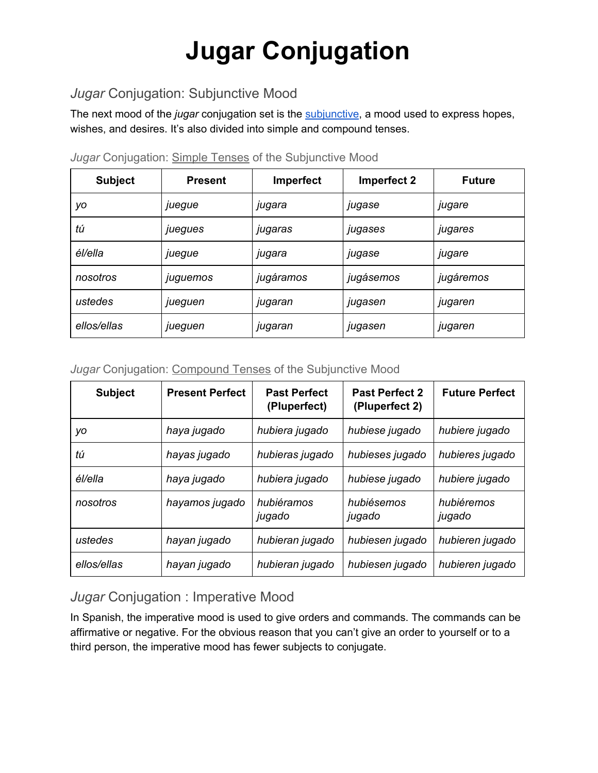#### *Jugar* Conjugation: Subjunctive Mood

The next mood of the *jugar* conjugation set is the [subjunctive,](https://www.spanish.academy/blog/spanish-subjuntive-part-1/) a mood used to express hopes, wishes, and desires. It's also divided into simple and compound tenses.

| <b>Subject</b> | <b>Present</b> | Imperfect | Imperfect 2 | <b>Future</b> |
|----------------|----------------|-----------|-------------|---------------|
| уo             | juegue         | jugara    | jugase      | jugare        |
| tú             | juegues        | jugaras   | jugases     | jugares       |
| él/ella        | juegue         | jugara    | jugase      | jugare        |
| nosotros       | juguemos       | jugáramos | jugásemos   | jugáremos     |
| ustedes        | jueguen        | jugaran   | jugasen     | jugaren       |
| ellos/ellas    | jueguen        | jugaran   | jugasen     | jugaren       |

*Jugar* Conjugation: Simple Tenses of the Subjunctive Mood

*Jugar* Conjugation: Compound Tenses of the Subjunctive Mood

| <b>Subject</b> | <b>Present Perfect</b> | <b>Past Perfect</b><br>(Pluperfect) | <b>Past Perfect 2</b><br>(Pluperfect 2) | <b>Future Perfect</b> |
|----------------|------------------------|-------------------------------------|-----------------------------------------|-----------------------|
| уo             | haya jugado            | hubiera jugado                      | hubiese jugado                          | hubiere jugado        |
| tú             | hayas jugado           | hubieras jugado                     | hubieses jugado                         | hubieres jugado       |
| él/ella        | haya jugado            | hubiera jugado                      | hubiese jugado                          | hubiere jugado        |
| nosotros       | hayamos jugado         | hubiéramos<br>jugado                | hubiésemos<br>jugado                    | hubiéremos<br>jugado  |
| ustedes        | hayan jugado           | hubieran jugado                     | hubiesen jugado                         | hubieren jugado       |
| ellos/ellas    | hayan jugado           | hubieran jugado                     | hubiesen jugado                         | hubieren jugado       |

#### *Jugar* Conjugation : Imperative Mood

In Spanish, the imperative mood is used to give orders and commands. The commands can be affirmative or negative. For the obvious reason that you can't give an order to yourself or to a third person, the imperative mood has fewer subjects to conjugate.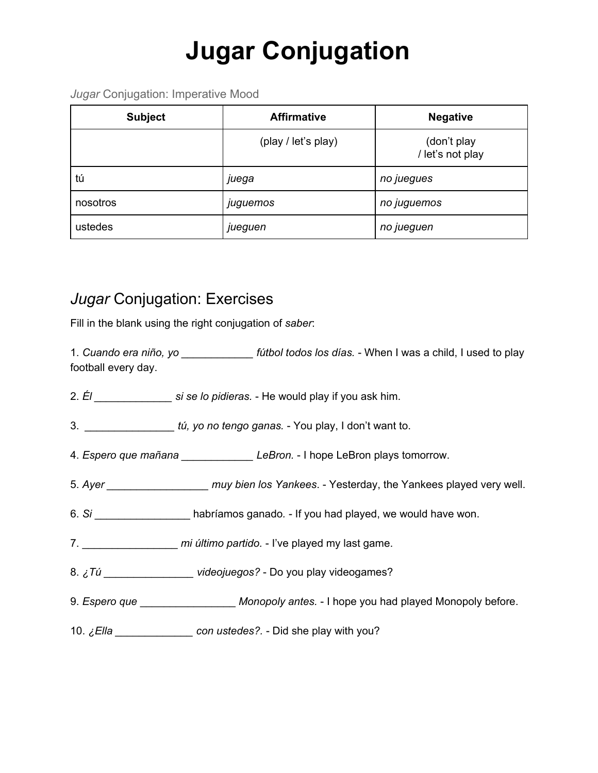*Jugar* Conjugation: Imperative Mood

| <b>Subject</b> | <b>Affirmative</b>  | <b>Negative</b>                 |  |
|----------------|---------------------|---------------------------------|--|
|                | (play / let's play) | (don't play<br>/ let's not play |  |
| tú             | juega               | no juegues                      |  |
| nosotros       | juguemos            | no juguemos                     |  |
| ustedes        | jueguen             | no jueguen                      |  |

### *Jugar* Conjugation: Exercises

Fill in the blank using the right conjugation of *saber*:

1. *Cuando era niño, yo \_\_\_\_\_\_\_\_\_\_\_\_ fútbol todos los días.* - When I was a child, I used to play football every day.

- 2. *Él \_\_\_\_\_\_\_\_\_\_\_\_\_ si se lo pidieras.* He would play if you ask him.
- 3. *\_\_\_\_\_\_\_\_\_\_\_\_\_\_\_ tú, yo no tengo ganas.* You play, I don't want to.
- 4. *Espero que mañana \_\_\_\_\_\_\_\_\_\_\_\_ LeBron.* I hope LeBron plays tomorrow.
- 5. *Ayer \_\_\_\_\_\_\_\_\_\_\_\_\_\_\_\_\_ muy bien los Yankees*. Yesterday, the Yankees played very well.
- 6. *Si* \_\_\_\_\_\_\_\_\_\_\_\_\_\_\_\_ habríamos ganado*.* If you had played, we would have won.
- 7. \_\_\_\_\_\_\_\_\_\_\_\_\_\_\_\_ *mi último partido.* I've played my last game.
- 8. *¿Tú \_\_\_\_\_\_\_\_\_\_\_\_\_\_\_ videojuegos?* Do you play videogames?
- 9. *Espero que Monopoly antes.* I hope you had played Monopoly before.
- 10. *¿Ella \_\_\_\_\_\_\_\_\_\_\_\_\_ con ustedes?.* Did she play with you?